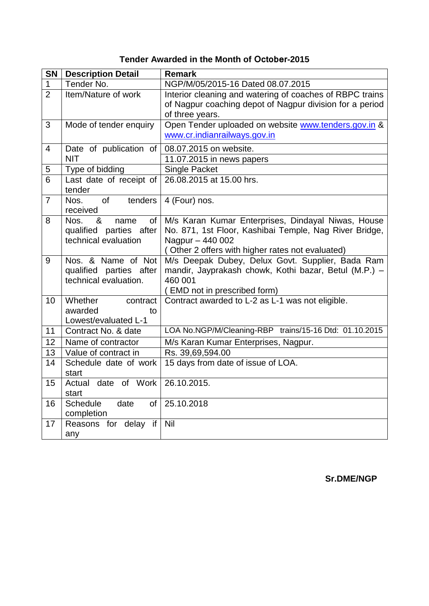## **Tender Awarded in the Month of October-2015**

| <b>SN</b>      | <b>Description Detail</b>                       | <b>Remark</b>                                                              |
|----------------|-------------------------------------------------|----------------------------------------------------------------------------|
| $\mathbf 1$    | Tender No.                                      | NGP/M/05/2015-16 Dated 08.07.2015                                          |
| $\overline{2}$ | Item/Nature of work                             | Interior cleaning and watering of coaches of RBPC trains                   |
|                |                                                 | of Nagpur coaching depot of Nagpur division for a period                   |
|                |                                                 | of three years.                                                            |
| 3              | Mode of tender enquiry                          | Open Tender uploaded on website www.tenders.gov.in &                       |
|                |                                                 | www.cr.indianrailways.gov.in                                               |
| $\overline{4}$ | Date of publication of                          | 08.07.2015 on website.                                                     |
|                | <b>NIT</b>                                      | 11.07.2015 in news papers                                                  |
| 5              | Type of bidding                                 | <b>Single Packet</b>                                                       |
| $\overline{6}$ | Last date of receipt of                         | 26.08.2015 at 15.00 hrs.                                                   |
|                | tender                                          |                                                                            |
| $\overline{7}$ | of<br>tenders<br>Nos.                           | 4 (Four) nos.                                                              |
|                | received                                        |                                                                            |
| 8              | Nos.<br>&<br>of<br>name                         | M/s Karan Kumar Enterprises, Dindayal Niwas, House                         |
|                | qualified parties after<br>technical evaluation | No. 871, 1st Floor, Kashibai Temple, Nag River Bridge,<br>Nagpur - 440 002 |
|                |                                                 | (Other 2 offers with higher rates not evaluated)                           |
| 9              | Nos. & Name of Not                              | M/s Deepak Dubey, Delux Govt. Supplier, Bada Ram                           |
|                | qualified parties after                         | mandir, Jayprakash chowk, Kothi bazar, Betul (M.P.) -                      |
|                | technical evaluation.                           | 460 001                                                                    |
|                |                                                 | (EMD not in prescribed form)                                               |
| 10             | Whether<br>contract                             | Contract awarded to L-2 as L-1 was not eligible.                           |
|                | awarded<br>to                                   |                                                                            |
|                | Lowest/evaluated L-1                            |                                                                            |
| 11             | Contract No. & date                             | LOA No.NGP/M/Cleaning-RBP trains/15-16 Dtd: 01.10.2015                     |
| 12             | Name of contractor                              | M/s Karan Kumar Enterprises, Nagpur.                                       |
| 13             | Value of contract in                            | Rs. 39,69,594.00                                                           |
| 14             | Schedule date of work                           | 15 days from date of issue of LOA.                                         |
|                | start                                           |                                                                            |
| 15             | date of Work<br>Actual                          | 26.10.2015.                                                                |
|                | start                                           |                                                                            |
| 16             | Schedule<br>date<br>of                          | 25.10.2018                                                                 |
| 17             | completion<br>Reasons for delay if              | Nil                                                                        |
|                |                                                 |                                                                            |
|                | any                                             |                                                                            |

**Sr.DME/NGP**